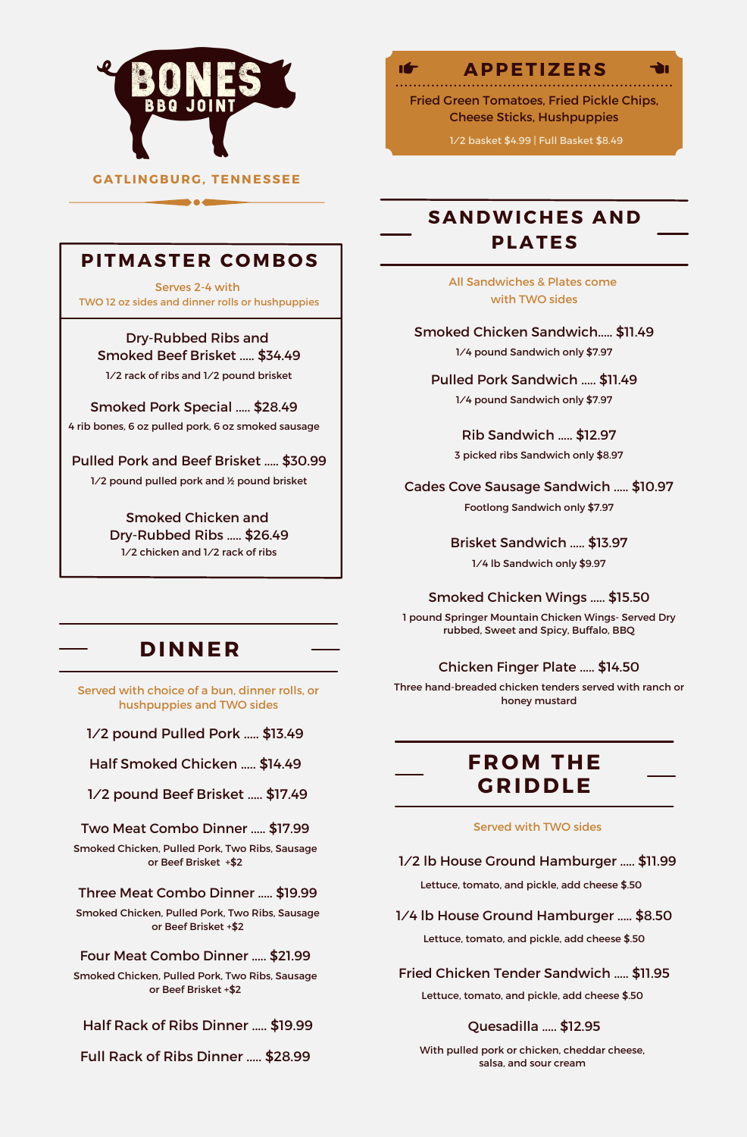

## **APPETIZERS**

चे।

**Ifr** 

Fried Green Tomatoes, Fried Pickle Chips, Cheese Sticks, Hushpuppies

1/2 basket \$4.99 | Full Basket \$8.49

# **SANDWICHES AND PLATES**

All Sandwiches & Plates come with TWO sides

Smoked Chicken Sandwich..... \$11.49 1/4 pound Sandwich only \$7.97

Pulled Pork Sandwich ..... \$11.49 1/4 pound Sandwich only \$7.97

> Rib Sandwich ..... \$12.97 3 picked ribs Sandwich only \$8.97

Cades Cove Sausage Sandwich ..... \$10.97 Footlong Sandwich only \$7.97

> Brisket Sandwich ..... \$13.97 1/4 lb Sandwich only \$9.97

Smoked Chicken Wings ..... \$15.50

1 pound Springer Mountain Chicken Wings- Served Dry rubbed, Sweet and Spicy, Buffalo, BBQ

#### Chicken Finger Plate ..... \$14.50

Three hand-breaded chicken tenders served with ranch or honey mustard

# **FR OM THE GRIDDLE**

#### Served with TWO sides

1/2 lb House Ground Hamburger ..... \$11.99 Lettuce, tomato, and pickle, add cheese \$.50

1/4 lb House Ground Hamburger ..... \$8.50 Lettuce, tomato, and pickle, add cheese \$.50

Fried Chicken Tender Sandwich ..... \$11.95 Lettuce, tomato, and pickle, add cheese \$.50

#### Quesadilla ..... \$12.95

With pulled pork or chicken, cheddar cheese, salsa, and sour cream

## **PITMASTER C OMB O S**

b a d

Serves 2-4 with TWO 12 oz sides and dinner rolls or hushpuppies

#### Dry-Rubbed Ribs and

Smoked Beef Brisket ..... \$34.49 1/2 rack of ribs and 1/2 pound brisket

Smoked Pork Special ..... \$28.49 4 rib bones, 6 oz pulled pork, 6 oz smoked sausage

Pulled Pork and Beef Brisket ..... \$30.99

1/2 pound pulled pork and 1/2 pound brisket

Smoked Chicken and Dry-Rubbed Ribs ..... \$26.49 1/2 chicken and 1/2 rack of ribs

# **DINNER**

Served with choice of a bun, dinner rolls, or hushpuppies and TWO sides

1/2 pound Pulled Pork ..... \$13.49

Half Smoked Chicken ..... \$14.49

1/2 pound Beef Brisket ..... \$17.49

Two Meat Combo Dinner ..... \$17.99

Smoked Chicken, Pulled Pork, Two Ribs, Sausage or Beef Brisket +\$2

Three Meat Combo Dinner ..... \$19.99

Smoked Chicken, Pulled Pork, Two Ribs, Sausage or Beef Brisket +\$2

#### Four Meat Combo Dinner ..... \$21.99

Smoked Chicken, Pulled Pork, Two Ribs, Sausage or Beef Brisket +\$2

Half Rack of Ribs Dinner ..... \$19.99

Full Rack of Ribs Dinner ..... \$28.99